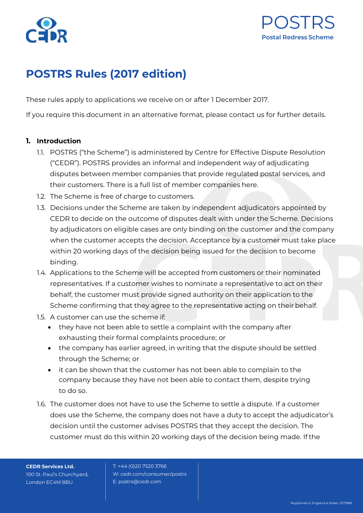



# **POSTRS Rules (2017 edition)**

These rules apply to applications we receive on or after 1 December 2017.

If you require this document in an alternative format, please contact us for further details.

#### **1. Introduction**

- 1.1. POSTRS ("the Scheme") is administered by Centre for Effective Dispute Resolution ("CEDR"). POSTRS provides an informal and independent way of adjudicating disputes between member companies that provide regulated postal services, and their customers. There is a full list of member companies here.
- 1.2. The Scheme is free of charge to customers.
- 1.3. Decisions under the Scheme are taken by independent adjudicators appointed by CEDR to decide on the outcome of disputes dealt with under the Scheme. Decisions by adjudicators on eligible cases are only binding on the customer and the company when the customer accepts the decision. Acceptance by a customer must take place within 20 working days of the decision being issued for the decision to become binding.
- 1.4. Applications to the Scheme will be accepted from customers or their nominated representatives. If a customer wishes to nominate a representative to act on their behalf, the customer must provide signed authority on their application to the Scheme confirming that they agree to the representative acting on their behalf.
- 1.5. A customer can use the scheme if:
	- they have not been able to settle a complaint with the company after exhausting their formal complaints procedure; or
	- the company has earlier agreed, in writing that the dispute should be settled through the Scheme; or
	- it can be shown that the customer has not been able to complain to the company because they have not been able to contact them, despite trying to do so.
- 1.6. The customer does not have to use the Scheme to settle a dispute. If a customer does use the Scheme, the company does not have a duty to accept the adjudicator's decision until the customer advises POSTRS that they accept the decision. The customer must do this within 20 working days of the decision being made. If the

**CEDR Services Ltd.** 100 St. Paul's Churchyard, London EC4M 8BU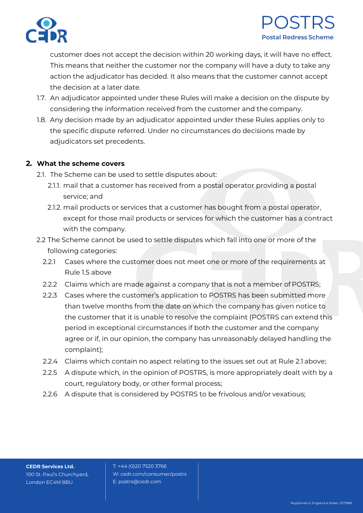

# POSTRS **Postal Redress Scheme**

customer does not accept the decision within 20 working days, it will have no effect. This means that neither the customer nor the company will have a duty to take any action the adjudicator has decided. It also means that the customer cannot accept the decision at a later date.

- 1.7. An adjudicator appointed under these Rules will make a decision on the dispute by considering the information received from the customer and the company.
- 1.8. Any decision made by an adjudicator appointed under these Rules applies only to the specific dispute referred. Under no circumstances do decisions made by adjudicators set precedents.

### **2. What the scheme covers**

- 2.1. The Scheme can be used to settle disputes about:
	- 2.1.1. mail that a customer has received from a postal operator providing a postal service; and
	- 2.1.2. mail products or services that a customer has bought from a postal operator, except for those mail products or services for which the customer has a contract with the company.
- 2.2 The Scheme cannot be used to settle disputes which fall into one or more of the following categories:
	- 2.2.1 Cases where the customer does not meet one or more of the requirements at Rule 1.5 above
	- 2.2.2 Claims which are made against a company that is not a member of POSTRS;
	- 2.2.3 Cases where the customer's application to POSTRS has been submitted more than twelve months from the date on which the company has given notice to the customer that it is unable to resolve the complaint (POSTRS can extend this period in exceptional circumstances if both the customer and the company agree or if, in our opinion, the company has unreasonably delayed handling the complaint);
	- 2.2.4 Claims which contain no aspect relating to the issues set out at Rule 2.1 above;
	- 2.2.5 A dispute which, in the opinion of POSTRS, is more appropriately dealt with by a court, regulatory body, or other formal process;
	- 2.2.6 A dispute that is considered by POSTRS to be frivolous and/or vexatious;

**CEDR Services Ltd.** 100 St. Paul's Churchyard, London EC4M 8BU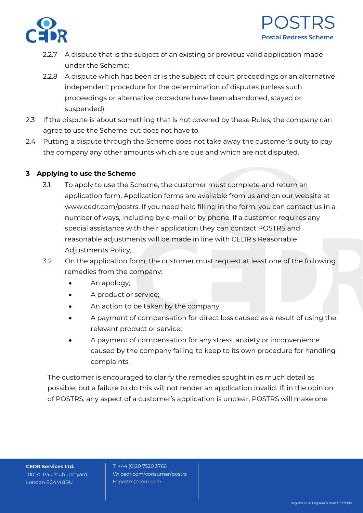



- 2.2.7 A dispute that is the subject of an existing or previous valid application made under the Scheme;
- 2.2.8 A dispute which has been or is the subject of court proceedings or an alternative independent procedure for the determination of disputes (unless such proceedings or alternative procedure have been abandoned, stayed or suspended).
- 2.3 If the dispute is about something that is not covered by these Rules, the company can agree to use the Scheme but does not have to.
- 2.4 Putting a dispute through the Scheme does not take away the customer's duty to pay the company any other amounts which are due and which are not disputed.

## **3 Applying to use the Scheme**

- 3.1 To apply to use the Scheme, the customer must complete and return an application form. Application forms are available from us and on our website a[t](http://www.cedr.com/postrs) [www.cedr.com/postrs. I](http://www.cedr.com/postrs)f you need help filling in the form, you can contact us in a number of ways, including by e-mail or by phone. If a customer requires any special assistance with their application they can contact POSTRS and reasonable adjustments will be made in line with CEDR's Reasonable Adjustments Policy,
- 3.2 On the application form, the customer must request at least one of the following remedies from the company:
	- An apology;
	- A product or service;
	- An action to be taken by the company;
	- A payment of compensation for direct loss caused as a result of using the relevant product or service;
	- A payment of compensation for any stress, anxiety or inconvenience caused by the company failing to keep to its own procedure for handling complaints.

The customer is encouraged to clarify the remedies sought in as much detail as possible, but a failure to do this will not render an application invalid. If, in the opinion of POSTRS, any aspect of a customer's application is unclear, POSTRS will make one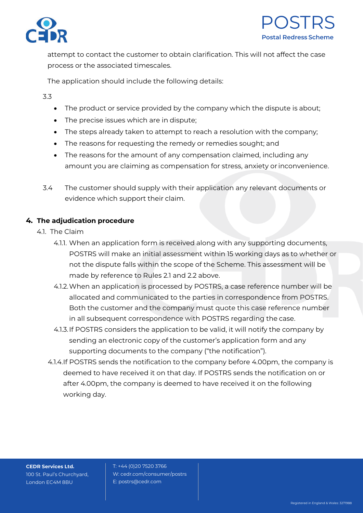



attempt to contact the customer to obtain clarification. This will not affect the case process or the associated timescales.

The application should include the following details:

3.3

- The product or service provided by the company which the dispute is about;
- The precise issues which are in dispute;
- The steps already taken to attempt to reach a resolution with the company;
- The reasons for requesting the remedy or remedies sought; and
- The reasons for the amount of any compensation claimed, including any amount you are claiming as compensation for stress, anxiety or inconvenience.
- 3.4 The customer should supply with their application any relevant documents or evidence which support their claim.

## **4. The adjudication procedure**

- 4.1. The Claim
	- 4.1.1. When an application form is received along with any supporting documents, POSTRS will make an initial assessment within 15 working days as to whether or not the dispute falls within the scope of the Scheme. This assessment will be made by reference to Rules 2.1 and 2.2 above.
	- 4.1.2.When an application is processed by POSTRS, a case reference number will be allocated and communicated to the parties in correspondence from POSTRS. Both the customer and the company must quote this case reference number in all subsequent correspondence with POSTRS regarding the case.
	- 4.1.3.If POSTRS considers the application to be valid, it will notify the company by sending an electronic copy of the customer's application form and any supporting documents to the company ("the notification").
	- 4.1.4.If POSTRS sends the notification to the company before 4.00pm, the company is deemed to have received it on that day. If POSTRS sends the notification on or after 4.00pm, the company is deemed to have received it on the following working day.

**CEDR Services Ltd.** 100 St. Paul's Churchyard, London EC4M 8BU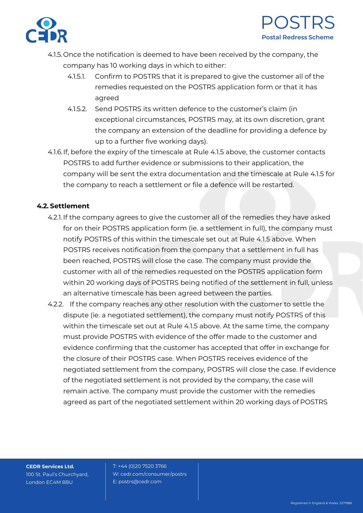



- 4.1.5.Once the notification is deemed to have been received by the company, the company has 10 working days in which to either:
	- 4.1.5.1. Confirm to POSTRS that it is prepared to give the customer all of the remedies requested on the POSTRS application form or that it has agreed
	- 4.1.5.2. Send POSTRS its written defence to the customer's claim (in exceptional circumstances, POSTRS may, at its own discretion, grant the company an extension of the deadline for providing a defence by up to a further five working days).
- 4.1.6.If, before the expiry of the timescale at Rule 4.1.5 above, the customer contacts POSTRS to add further evidence or submissions to their application, the company will be sent the extra documentation and the timescale at Rule 4.1.5 for the company to reach a settlement or file a defence will be restarted.

### **4.2. Settlement**

- 4.2.1.If the company agrees to give the customer all of the remedies they have asked for on their POSTRS application form (ie. a settlement in full), the company must notify POSTRS of this within the timescale set out at Rule 4.1.5 above. When POSTRS receives notification from the company that a settlement in full has been reached, POSTRS will close the case. The company must provide the customer with all of the remedies requested on the POSTRS application form within 20 working days of POSTRS being notified of the settlement in full, unless an alternative timescale has been agreed between the parties.
- 4.2.2. If the company reaches any other resolution with the customer to settle the dispute (ie. a negotiated settlement), the company must notify POSTRS of this within the timescale set out at Rule 4.1.5 above. At the same time, the company must provide POSTRS with evidence of the offer made to the customer and evidence confirming that the customer has accepted that offer in exchange for the closure of their POSTRS case. When POSTRS receives evidence of the negotiated settlement from the company, POSTRS will close the case. If evidence of the negotiated settlement is not provided by the company, the case will remain active. The company must provide the customer with the remedies agreed as part of the negotiated settlement within 20 working days of POSTRS

**CEDR Services Ltd.** 100 St. Paul's Churchyard, London EC4M 8BU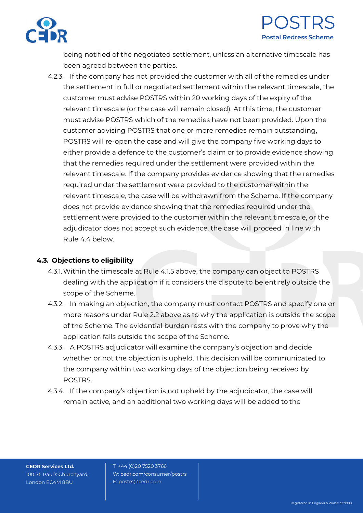



being notified of the negotiated settlement, unless an alternative timescale has been agreed between the parties.

4.2.3. If the company has not provided the customer with all of the remedies under the settlement in full or negotiated settlement within the relevant timescale, the customer must advise POSTRS within 20 working days of the expiry of the relevant timescale (or the case will remain closed). At this time, the customer must advise POSTRS which of the remedies have not been provided. Upon the customer advising POSTRS that one or more remedies remain outstanding, POSTRS will re-open the case and will give the company five working days to either provide a defence to the customer's claim or to provide evidence showing that the remedies required under the settlement were provided within the relevant timescale. If the company provides evidence showing that the remedies required under the settlement were provided to the customer within the relevant timescale, the case will be withdrawn from the Scheme. If the company does not provide evidence showing that the remedies required under the settlement were provided to the customer within the relevant timescale, or the adjudicator does not accept such evidence, the case will proceed in line with Rule 4.4 below.

#### **4.3. Objections to eligibility**

- 4.3.1.Within the timescale at Rule 4.1.5 above, the company can object to POSTRS dealing with the application if it considers the dispute to be entirely outside the scope of the Scheme.
- 4.3.2. In making an objection, the company must contact POSTRS and specify one or more reasons under Rule 2.2 above as to why the application is outside the scope of the Scheme. The evidential burden rests with the company to prove why the application falls outside the scope of the Scheme.
- 4.3.3. A POSTRS adjudicator will examine the company's objection and decide whether or not the objection is upheld. This decision will be communicated to the company within two working days of the objection being received by POSTRS.
- 4.3.4. If the company's objection is not upheld by the adjudicator, the case will remain active, and an additional two working days will be added to the

**CEDR Services Ltd.** 100 St. Paul's Churchyard, London EC4M 8BU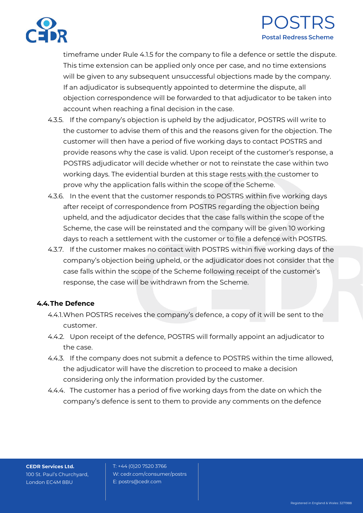

# POSTRS **Postal Redress Scheme**

timeframe under Rule 4.1.5 for the company to file a defence or settle the dispute. This time extension can be applied only once per case, and no time extensions will be given to any subsequent unsuccessful objections made by the company. If an adjudicator is subsequently appointed to determine the dispute, all objection correspondence will be forwarded to that adjudicator to be taken into account when reaching a final decision in the case.

- 4.3.5. If the company's objection is upheld by the adjudicator, POSTRS will write to the customer to advise them of this and the reasons given for the objection. The customer will then have a period of five working days to contact POSTRS and provide reasons why the case is valid. Upon receipt of the customer's response, a POSTRS adjudicator will decide whether or not to reinstate the case within two working days. The evidential burden at this stage rests with the customer to prove why the application falls within the scope of the Scheme.
- 4.3.6. In the event that the customer responds to POSTRS within five working days after receipt of correspondence from POSTRS regarding the objection being upheld, and the adjudicator decides that the case falls within the scope of the Scheme, the case will be reinstated and the company will be given 10 working days to reach a settlement with the customer or to file a defence with POSTRS.
- 4.3.7. If the customer makes no contact with POSTRS within five working days of the company's objection being upheld, or the adjudicator does not consider that the case falls within the scope of the Scheme following receipt of the customer's response, the case will be withdrawn from the Scheme.

## **4.4.The Defence**

- 4.4.1.When POSTRS receives the company's defence, a copy of it will be sent to the customer.
- 4.4.2. Upon receipt of the defence, POSTRS will formally appoint an adjudicator to the case.
- 4.4.3. If the company does not submit a defence to POSTRS within the time allowed, the adjudicator will have the discretion to proceed to make a decision considering only the information provided by the customer.
- 4.4.4. The customer has a period of five working days from the date on which the company's defence is sent to them to provide any comments on the defence

**CEDR Services Ltd.** 100 St. Paul's Churchyard, London EC4M 8BU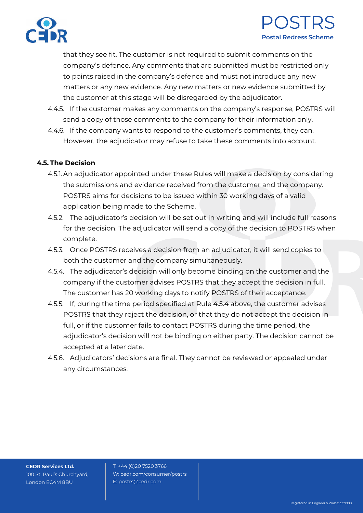



that they see fit. The customer is not required to submit comments on the company's defence. Any comments that are submitted must be restricted only to points raised in the company's defence and must not introduce any new matters or any new evidence. Any new matters or new evidence submitted by the customer at this stage will be disregarded by the adjudicator.

- 4.4.5. If the customer makes any comments on the company's response, POSTRS will send a copy of those comments to the company for their information only.
- 4.4.6. If the company wants to respond to the customer's comments, they can. However, the adjudicator may refuse to take these comments into account.

#### **4.5. The Decision**

- 4.5.1.An adjudicator appointed under these Rules will make a decision by considering the submissions and evidence received from the customer and the company. POSTRS aims for decisions to be issued within 30 working days of a valid application being made to the Scheme.
- 4.5.2. The adjudicator's decision will be set out in writing and will include full reasons for the decision. The adjudicator will send a copy of the decision to POSTRS when complete.
- 4.5.3. Once POSTRS receives a decision from an adjudicator, it will send copies to both the customer and the company simultaneously.
- 4.5.4. The adjudicator's decision will only become binding on the customer and the company if the customer advises POSTRS that they accept the decision in full. The customer has 20 working days to notify POSTRS of their acceptance.
- 4.5.5. If, during the time period specified at Rule 4.5.4 above, the customer advises POSTRS that they reject the decision, or that they do not accept the decision in full, or if the customer fails to contact POSTRS during the time period, the adjudicator's decision will not be binding on either party. The decision cannot be accepted at a later date.
- 4.5.6. Adjudicators' decisions are final. They cannot be reviewed or appealed under any circumstances.

**CEDR Services Ltd.** 100 St. Paul's Churchyard, London EC4M 8BU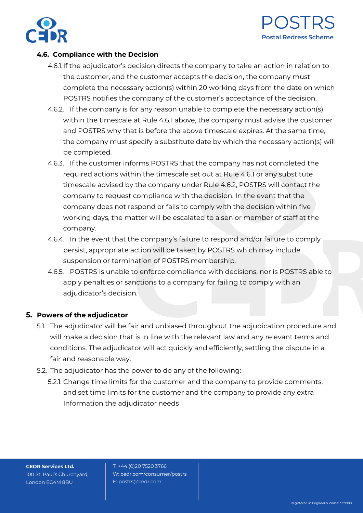



#### **4.6. Compliance with the Decision**

- 4.6.1.If the adjudicator's decision directs the company to take an action in relation to the customer, and the customer accepts the decision, the company must complete the necessary action(s) within 20 working days from the date on which POSTRS notifies the company of the customer's acceptance of the decision.
- 4.6.2. If the company is for any reason unable to complete the necessary action(s) within the timescale at Rule 4.6.1 above, the company must advise the customer and POSTRS why that is before the above timescale expires. At the same time, the company must specify a substitute date by which the necessary action(s) will be completed.
- 4.6.3. If the customer informs POSTRS that the company has not completed the required actions within the timescale set out at Rule 4.6.1 or any substitute timescale advised by the company under Rule 4.6.2, POSTRS will contact the company to request compliance with the decision. In the event that the company does not respond or fails to comply with the decision within five working days, the matter will be escalated to a senior member of staff at the company.
- 4.6.4. In the event that the company's failure to respond and/or failure to comply persist, appropriate action will be taken by POSTRS which may include suspension or termination of POSTRS membership.
- 4.6.5. POSTRS is unable to enforce compliance with decisions, nor is POSTRS able to apply penalties or sanctions to a company for failing to comply with an adjudicator's decision.

#### **5. Powers of the adjudicator**

- 5.1. The adjudicator will be fair and unbiased throughout the adjudication procedure and will make a decision that is in line with the relevant law and any relevant terms and conditions. The adjudicator will act quickly and efficiently, settling the dispute in a fair and reasonable way.
- 5.2. The adjudicator has the power to do any of the following:
	- 5.2.1. Change time limits for the customer and the company to provide comments, and set time limits for the customer and the company to provide any extra Information the adjudicator needs

**CEDR Services Ltd.** 100 St. Paul's Churchyard, London EC4M 8BU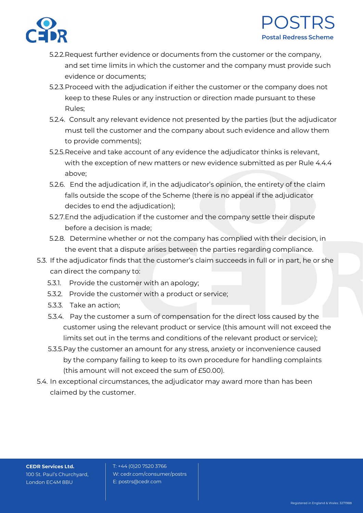



- 5.2.2.Request further evidence or documents from the customer or the company, and set time limits in which the customer and the company must provide such evidence or documents;
- 5.2.3.Proceed with the adjudication if either the customer or the company does not keep to these Rules or any instruction or direction made pursuant to these Rules;
- 5.2.4. Consult any relevant evidence not presented by the parties (but the adjudicator must tell the customer and the company about such evidence and allow them to provide comments);
- 5.2.5.Receive and take account of any evidence the adjudicator thinks is relevant, with the exception of new matters or new evidence submitted as per Rule 4.4.4 above;
- 5.2.6. End the adjudication if, in the adjudicator's opinion, the entirety of the claim falls outside the scope of the Scheme (there is no appeal if the adjudicator decides to end the adjudication);
- 5.2.7.End the adjudication if the customer and the company settle their dispute before a decision is made;
- 5.2.8. Determine whether or not the company has complied with their decision, in the event that a dispute arises between the parties regarding compliance.
- 5.3. If the adjudicator finds that the customer's claim succeeds in full or in part, he or she can direct the company to:
	- 5.3.1. Provide the customer with an apology;
	- 5.3.2. Provide the customer with a product or service;
	- 5.3.3. Take an action;
	- 5.3.4. Pay the customer a sum of compensation for the direct loss caused by the customer using the relevant product or service (this amount will not exceed the limits set out in the terms and conditions of the relevant product or service);
	- 5.3.5.Pay the customer an amount for any stress, anxiety or inconvenience caused by the company failing to keep to its own procedure for handling complaints (this amount will not exceed the sum of £50.00).
- 5.4. In exceptional circumstances, the adjudicator may award more than has been claimed by the customer.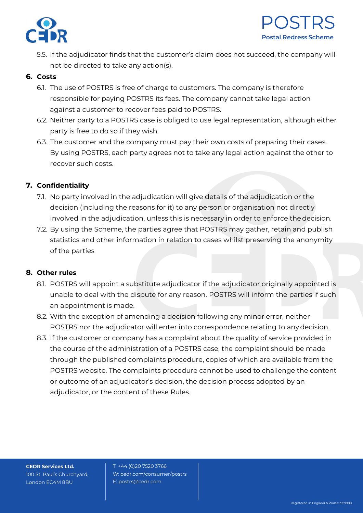

5.5. If the adjudicator finds that the customer's claim does not succeed, the company will not be directed to take any action(s).

### **6. Costs**

- 6.1. The use of POSTRS is free of charge to customers. The company is therefore responsible for paying POSTRS its fees. The company cannot take legal action against a customer to recover fees paid to POSTRS.
- 6.2. Neither party to a POSTRS case is obliged to use legal representation, although either party is free to do so if they wish.
- 6.3. The customer and the company must pay their own costs of preparing their cases. By using POSTRS, each party agrees not to take any legal action against the other to recover such costs.

## **7. Confidentiality**

- 7.1. No party involved in the adjudication will give details of the adjudication or the decision (including the reasons for it) to any person or organisation not directly involved in the adjudication, unless this is necessary in order to enforce thedecision.
- 7.2. By using the Scheme, the parties agree that POSTRS may gather, retain and publish statistics and other information in relation to cases whilst preserving the anonymity of the parties

## **8. Other rules**

- 8.1. POSTRS will appoint a substitute adjudicator if the adjudicator originally appointed is unable to deal with the dispute for any reason. POSTRS will inform the parties if such an appointment is made.
- 8.2. With the exception of amending a decision following any minor error, neither POSTRS nor the adjudicator will enter into correspondence relating to anydecision.
- 8.3. If the customer or company has a complaint about the quality of service provided in the course of the administration of a POSTRS case, the complaint should be made through the published complaints procedure, copies of which are available from the POSTRS website. The complaints procedure cannot be used to challenge the content or outcome of an adjudicator's decision, the decision process adopted by an adjudicator, or the content of these Rules.

**CEDR Services Ltd.** 100 St. Paul's Churchyard, London EC4M 8BU